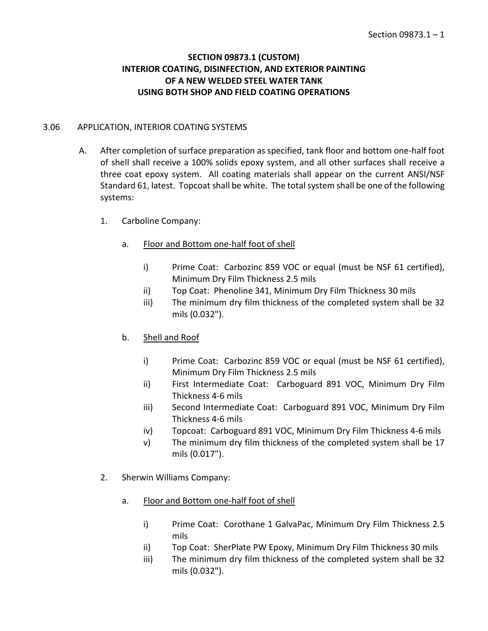# **SECTION 09873.1 (CUSTOM) INTERIOR COATING, DISINFECTION, AND EXTERIOR PAINTING OF A NEW WELDED STEEL WATER TANK USING BOTH SHOP AND FIELD COATING OPERATIONS**

### 3.06 APPLICATION, INTERIOR COATING SYSTEMS

- A. After completion of surface preparation as specified, tank floor and bottom one-half foot of shell shall receive a 100% solids epoxy system, and all other surfaces shall receive a three coat epoxy system. All coating materials shall appear on the current ANSI/NSF Standard 61, latest. Topcoat shall be white. The total system shall be one of the following systems:
	- 1. Carboline Company:
		- a. Floor and Bottom one-half foot of shell
			- i) Prime Coat: Carbozinc 859 VOC or equal (must be NSF 61 certified), Minimum Dry Film Thickness 2.5 mils
			- ii) Top Coat: Phenoline 341, Minimum Dry Film Thickness 30 mils
			- iii) The minimum dry film thickness of the completed system shall be 32 mils (0.032").
		- b. Shell and Roof
			- i) Prime Coat: Carbozinc 859 VOC or equal (must be NSF 61 certified), Minimum Dry Film Thickness 2.5 mils
			- ii) First Intermediate Coat: Carboguard 891 VOC, Minimum Dry Film Thickness 4-6 mils
			- iii) Second Intermediate Coat: Carboguard 891 VOC, Minimum Dry Film Thickness 4-6 mils
			- iv) Topcoat: Carboguard 891 VOC, Minimum Dry Film Thickness 4-6 mils
			- v) The minimum dry film thickness of the completed system shall be 17 mils (0.017").
	- 2. Sherwin Williams Company:
		- a. Floor and Bottom one-half foot of shell
			- i) Prime Coat: Corothane 1 GalvaPac, Minimum Dry Film Thickness 2.5 mils
			- ii) Top Coat: SherPlate PW Epoxy, Minimum Dry Film Thickness 30 mils
			- iii) The minimum dry film thickness of the completed system shall be 32 mils (0.032").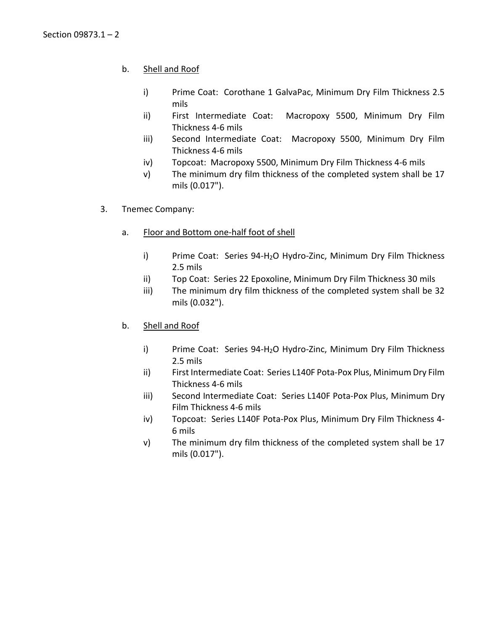# b. Shell and Roof

- i) Prime Coat: Corothane 1 GalvaPac, Minimum Dry Film Thickness 2.5 mils
- ii) First Intermediate Coat: Macropoxy 5500, Minimum Dry Film Thickness 4-6 mils
- iii) Second Intermediate Coat: Macropoxy 5500, Minimum Dry Film Thickness 4-6 mils
- iv) Topcoat: Macropoxy 5500, Minimum Dry Film Thickness 4-6 mils
- v) The minimum dry film thickness of the completed system shall be 17 mils (0.017").
- 3. Tnemec Company:
	- a. Floor and Bottom one-half foot of shell
		- i) Prime Coat: Series 94-H<sub>2</sub>O Hydro-Zinc, Minimum Dry Film Thickness 2.5 mils
		- ii) Top Coat: Series 22 Epoxoline, Minimum Dry Film Thickness 30 mils
		- iii) The minimum dry film thickness of the completed system shall be 32 mils (0.032").
	- b. Shell and Roof
		- i) Prime Coat: Series 94-H2O Hydro-Zinc, Minimum Dry Film Thickness 2.5 mils
		- ii) First Intermediate Coat: Series L140F Pota-Pox Plus, Minimum Dry Film Thickness 4-6 mils
		- iii) Second Intermediate Coat: Series L140F Pota-Pox Plus, Minimum Dry Film Thickness 4-6 mils
		- iv) Topcoat: Series L140F Pota-Pox Plus, Minimum Dry Film Thickness 4- 6 mils
		- v) The minimum dry film thickness of the completed system shall be 17 mils (0.017").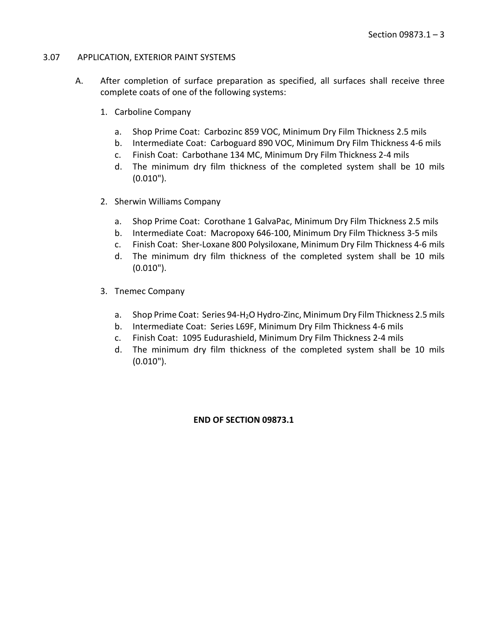#### 3.07 APPLICATION, EXTERIOR PAINT SYSTEMS

- A. After completion of surface preparation as specified, all surfaces shall receive three complete coats of one of the following systems:
	- 1. Carboline Company
		- a. Shop Prime Coat: Carbozinc 859 VOC, Minimum Dry Film Thickness 2.5 mils
		- b. Intermediate Coat: Carboguard 890 VOC, Minimum Dry Film Thickness 4-6 mils
		- c. Finish Coat: Carbothane 134 MC, Minimum Dry Film Thickness 2-4 mils
		- d. The minimum dry film thickness of the completed system shall be 10 mils (0.010").
	- 2. Sherwin Williams Company
		- a. Shop Prime Coat: Corothane 1 GalvaPac, Minimum Dry Film Thickness 2.5 mils
		- b. Intermediate Coat: Macropoxy 646-100, Minimum Dry Film Thickness 3-5 mils
		- c. Finish Coat: Sher-Loxane 800 Polysiloxane, Minimum Dry Film Thickness 4-6 mils
		- d. The minimum dry film thickness of the completed system shall be 10 mils (0.010").
	- 3. Tnemec Company
		- a. Shop Prime Coat: Series 94-H2O Hydro-Zinc, Minimum Dry Film Thickness 2.5 mils
		- b. Intermediate Coat: Series L69F, Minimum Dry Film Thickness 4-6 mils
		- c. Finish Coat: 1095 Eudurashield, Minimum Dry Film Thickness 2-4 mils
		- d. The minimum dry film thickness of the completed system shall be 10 mils (0.010").

#### **END OF SECTION 09873.1**